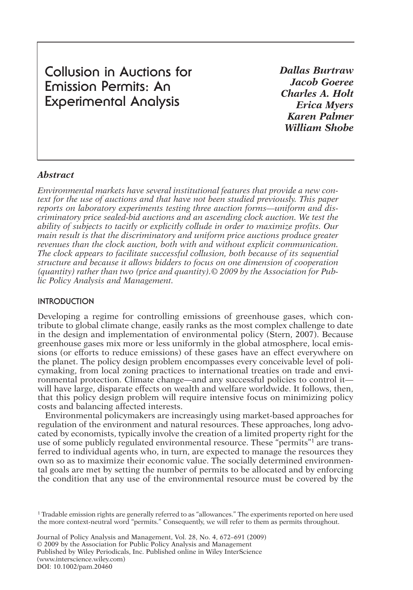# **Collusion in Auctions for Emission Permits: An Experimental Analysis**

*Dallas Burtraw Jacob Goeree Charles A. Holt Erica Myers Karen Palmer William Shobe*

## *Abstract*

*Environmental markets have several institutional features that provide a new context for the use of auctions and that have not been studied previously. This paper reports on laboratory experiments testing three auction forms—uniform and discriminatory price sealed-bid auctions and an ascending clock auction. We test the ability of subjects to tacitly or explicitly collude in order to maximize profits. Our main result is that the discriminatory and uniform price auctions produce greater revenues than the clock auction, both with and without explicit communication. The clock appears to facilitate successful collusion, both because of its sequential structure and because it allows bidders to focus on one dimension of cooperation (quantity) rather than two (price and quantity).© 2009 by the Association for Public Policy Analysis and Management.*

## **INTRODUCTION**

Developing a regime for controlling emissions of greenhouse gases, which contribute to global climate change, easily ranks as the most complex challenge to date in the design and implementation of environmental policy (Stern, 2007). Because greenhouse gases mix more or less uniformly in the global atmosphere, local emissions (or efforts to reduce emissions) of these gases have an effect everywhere on the planet. The policy design problem encompasses every conceivable level of policymaking, from local zoning practices to international treaties on trade and environmental protection. Climate change—and any successful policies to control it will have large, disparate effects on wealth and welfare worldwide. It follows, then, that this policy design problem will require intensive focus on minimizing policy costs and balancing affected interests.

Environmental policymakers are increasingly using market-based approaches for regulation of the environment and natural resources. These approaches, long advocated by economists, typically involve the creation of a limited property right for the use of some publicly regulated environmental resource. These "permits"1 are transferred to individual agents who, in turn, are expected to manage the resources they own so as to maximize their economic value. The socially determined environmental goals are met by setting the number of permits to be allocated and by enforcing the condition that any use of the environmental resource must be covered by the

Journal of Policy Analysis and Management, Vol. 28, No. 4, 672–691 (2009) © 2009 by the Association for Public Policy Analysis and Management Published by Wiley Periodicals, Inc. Published online in Wiley InterScience (www.interscience.wiley.com) DOI: 10.1002/pam.20460

<sup>1</sup> Tradable emission rights are generally referred to as "allowances." The experiments reported on here used the more context-neutral word "permits." Consequently, we will refer to them as permits throughout.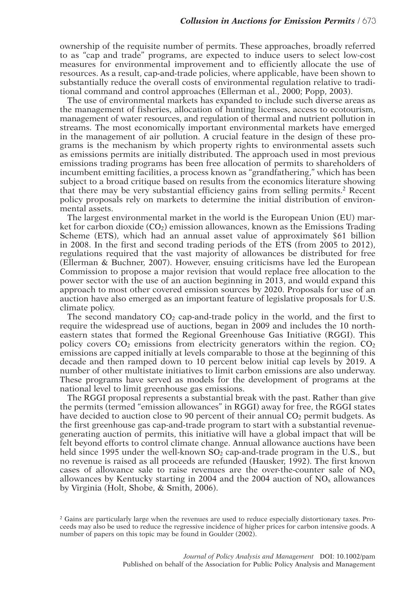ownership of the requisite number of permits. These approaches, broadly referred to as "cap and trade" programs, are expected to induce users to select low-cost measures for environmental improvement and to efficiently allocate the use of resources. As a result, cap-and-trade policies, where applicable, have been shown to substantially reduce the overall costs of environmental regulation relative to traditional command and control approaches (Ellerman et al., 2000; Popp, 2003).

The use of environmental markets has expanded to include such diverse areas as the management of fisheries, allocation of hunting licenses, access to ecotourism, management of water resources, and regulation of thermal and nutrient pollution in streams. The most economically important environmental markets have emerged in the management of air pollution. A crucial feature in the design of these programs is the mechanism by which property rights to environmental assets such as emissions permits are initially distributed. The approach used in most previous emissions trading programs has been free allocation of permits to shareholders of incumbent emitting facilities, a process known as "grandfathering," which has been subject to a broad critique based on results from the economics literature showing that there may be very substantial efficiency gains from selling permits.2 Recent policy proposals rely on markets to determine the initial distribution of environmental assets.

The largest environmental market in the world is the European Union (EU) market for carbon dioxide  $(CO_2)$  emission allowances, known as the Emissions Trading Scheme (ETS), which had an annual asset value of approximately \$61 billion in 2008. In the first and second trading periods of the ETS (from 2005 to 2012), regulations required that the vast majority of allowances be distributed for free (Ellerman & Buchner, 2007). However, ensuing criticisms have led the European Commission to propose a major revision that would replace free allocation to the power sector with the use of an auction beginning in 2013, and would expand this approach to most other covered emission sources by 2020. Proposals for use of an auction have also emerged as an important feature of legislative proposals for U.S. climate policy.

The second mandatory  $CO<sub>2</sub>$  cap-and-trade policy in the world, and the first to require the widespread use of auctions, began in 2009 and includes the 10 northeastern states that formed the Regional Greenhouse Gas Initiative (RGGI). This policy covers  $CO<sub>2</sub>$  emissions from electricity generators within the region.  $CO<sub>2</sub>$ emissions are capped initially at levels comparable to those at the beginning of this decade and then ramped down to 10 percent below initial cap levels by 2019. A number of other multistate initiatives to limit carbon emissions are also underway. These programs have served as models for the development of programs at the national level to limit greenhouse gas emissions.

The RGGI proposal represents a substantial break with the past. Rather than give the permits (termed "emission allowances" in RGGI) away for free, the RGGI states have decided to auction close to 90 percent of their annual  $CO<sub>2</sub>$  permit budgets. As the first greenhouse gas cap-and-trade program to start with a substantial revenuegenerating auction of permits, this initiative will have a global impact that will be felt beyond efforts to control climate change. Annual allowance auctions have been held since 1995 under the well-known  $SO_2$  cap-and-trade program in the U.S., but no revenue is raised as all proceeds are refunded (Hausker, 1992). The first known cases of allowance sale to raise revenues are the over-the-counter sale of  $NO<sub>x</sub>$ allowances by Kentucky starting in 2004 and the 2004 auction of  $NO<sub>x</sub>$  allowances by Virginia (Holt, Shobe, & Smith, 2006).

<sup>&</sup>lt;sup>2</sup> Gains are particularly large when the revenues are used to reduce especially distortionary taxes. Proceeds may also be used to reduce the regressive incidence of higher prices for carbon intensive goods. A number of papers on this topic may be found in Goulder (2002).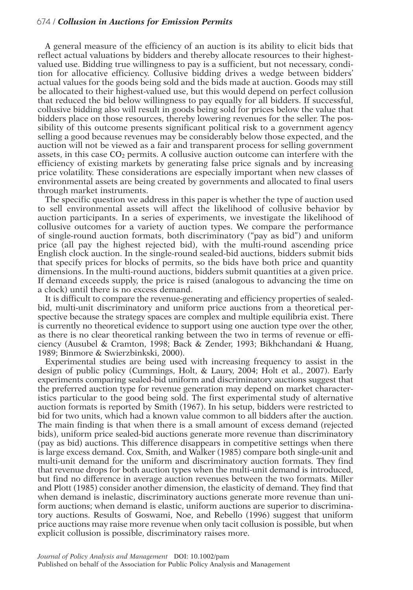A general measure of the efficiency of an auction is its ability to elicit bids that reflect actual valuations by bidders and thereby allocate resources to their highestvalued use. Bidding true willingness to pay is a sufficient, but not necessary, condition for allocative efficiency. Collusive bidding drives a wedge between bidders' actual values for the goods being sold and the bids made at auction. Goods may still be allocated to their highest-valued use, but this would depend on perfect collusion that reduced the bid below willingness to pay equally for all bidders. If successful, collusive bidding also will result in goods being sold for prices below the value that bidders place on those resources, thereby lowering revenues for the seller. The possibility of this outcome presents significant political risk to a government agency selling a good because revenues may be considerably below those expected, and the auction will not be viewed as a fair and transparent process for selling government assets, in this case  $CO<sub>2</sub>$  permits. A collusive auction outcome can interfere with the efficiency of existing markets by generating false price signals and by increasing price volatility. These considerations are especially important when new classes of environmental assets are being created by governments and allocated to final users through market instruments.

The specific question we address in this paper is whether the type of auction used to sell environmental assets will affect the likelihood of collusive behavior by auction participants. In a series of experiments, we investigate the likelihood of collusive outcomes for a variety of auction types. We compare the performance of single-round auction formats, both discriminatory ("pay as bid") and uniform price (all pay the highest rejected bid), with the multi-round ascending price English clock auction. In the single-round sealed-bid auctions, bidders submit bids that specify prices for blocks of permits, so the bids have both price and quantity dimensions. In the multi-round auctions, bidders submit quantities at a given price. If demand exceeds supply, the price is raised (analogous to advancing the time on a clock) until there is no excess demand.

It is difficult to compare the revenue-generating and efficiency properties of sealedbid, multi-unit discriminatory and uniform price auctions from a theoretical perspective because the strategy spaces are complex and multiple equilibria exist. There is currently no theoretical evidence to support using one auction type over the other, as there is no clear theoretical ranking between the two in terms of revenue or efficiency (Ausubel & Cramton, 1998; Back & Zender, 1993; Bikhchandani & Huang, 1989; Binmore & Swierzbinkski, 2000).

Experimental studies are being used with increasing frequency to assist in the design of public policy (Cummings, Holt, & Laury, 2004; Holt et al., 2007). Early experiments comparing sealed-bid uniform and discriminatory auctions suggest that the preferred auction type for revenue generation may depend on market characteristics particular to the good being sold. The first experimental study of alternative auction formats is reported by Smith (1967). In his setup, bidders were restricted to bid for two units, which had a known value common to all bidders after the auction. The main finding is that when there is a small amount of excess demand (rejected bids), uniform price sealed-bid auctions generate more revenue than discriminatory (pay as bid) auctions. This difference disappears in competitive settings when there is large excess demand. Cox, Smith, and Walker (1985) compare both single-unit and multi-unit demand for the uniform and discriminatory auction formats. They find that revenue drops for both auction types when the multi-unit demand is introduced, but find no difference in average auction revenues between the two formats. Miller and Plott (1985) consider another dimension, the elasticity of demand. They find that when demand is inelastic, discriminatory auctions generate more revenue than uniform auctions; when demand is elastic, uniform auctions are superior to discriminatory auctions. Results of Goswami, Noe, and Rebello (1996) suggest that uniform price auctions may raise more revenue when only tacit collusion is possible, but when explicit collusion is possible, discriminatory raises more.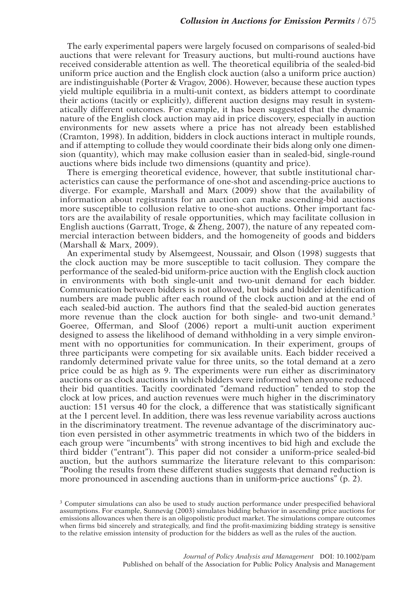The early experimental papers were largely focused on comparisons of sealed-bid auctions that were relevant for Treasury auctions, but multi-round auctions have received considerable attention as well. The theoretical equilibria of the sealed-bid uniform price auction and the English clock auction (also a uniform price auction) are indistinguishable (Porter & Vragov, 2006). However, because these auction types yield multiple equilibria in a multi-unit context, as bidders attempt to coordinate their actions (tacitly or explicitly), different auction designs may result in systematically different outcomes. For example, it has been suggested that the dynamic nature of the English clock auction may aid in price discovery, especially in auction environments for new assets where a price has not already been established (Cramton, 1998). In addition, bidders in clock auctions interact in multiple rounds, and if attempting to collude they would coordinate their bids along only one dimension (quantity), which may make collusion easier than in sealed-bid, single-round auctions where bids include two dimensions (quantity and price).

There is emerging theoretical evidence, however, that subtle institutional characteristics can cause the performance of one-shot and ascending-price auctions to diverge. For example, Marshall and Marx (2009) show that the availability of information about registrants for an auction can make ascending-bid auctions more susceptible to collusion relative to one-shot auctions. Other important factors are the availability of resale opportunities, which may facilitate collusion in English auctions (Garratt, Troge, & Zheng, 2007), the nature of any repeated commercial interaction between bidders, and the homogeneity of goods and bidders (Marshall & Marx, 2009).

An experimental study by Alsemgeest, Noussair, and Olson (1998) suggests that the clock auction may be more susceptible to tacit collusion. They compare the performance of the sealed-bid uniform-price auction with the English clock auction in environments with both single-unit and two-unit demand for each bidder. Communication between bidders is not allowed, but bids and bidder identification numbers are made public after each round of the clock auction and at the end of each sealed-bid auction. The authors find that the sealed-bid auction generates more revenue than the clock auction for both single- and two-unit demand.<sup>3</sup> Goeree, Offerman, and Sloof (2006) report a multi-unit auction experiment designed to assess the likelihood of demand withholding in a very simple environment with no opportunities for communication. In their experiment, groups of three participants were competing for six available units. Each bidder received a randomly determined private value for three units, so the total demand at a zero price could be as high as 9. The experiments were run either as discriminatory auctions or as clock auctions in which bidders were informed when anyone reduced their bid quantities. Tacitly coordinated "demand reduction" tended to stop the clock at low prices, and auction revenues were much higher in the discriminatory auction: 151 versus 40 for the clock, a difference that was statistically significant at the 1 percent level. In addition, there was less revenue variability across auctions in the discriminatory treatment. The revenue advantage of the discriminatory auction even persisted in other asymmetric treatments in which two of the bidders in each group were "incumbents" with strong incentives to bid high and exclude the third bidder ("entrant"). This paper did not consider a uniform-price sealed-bid auction, but the authors summarize the literature relevant to this comparison: "Pooling the results from these different studies suggests that demand reduction is more pronounced in ascending auctions than in uniform-price auctions" (p. 2).

<sup>&</sup>lt;sup>3</sup> Computer simulations can also be used to study auction performance under prespecified behavioral assumptions. For example, Sunnevåg (2003) simulates bidding behavior in ascending price auctions for emissions allowances when there is an oligopolistic product market. The simulations compare outcomes when firms bid sincerely and strategically, and find the profit-maximizing bidding strategy is sensitive to the relative emission intensity of production for the bidders as well as the rules of the auction.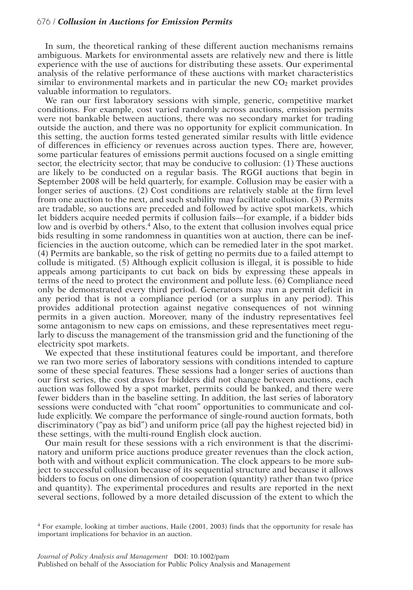In sum, the theoretical ranking of these different auction mechanisms remains ambiguous. Markets for environmental assets are relatively new and there is little experience with the use of auctions for distributing these assets. Our experimental analysis of the relative performance of these auctions with market characteristics similar to environmental markets and in particular the new  $CO<sub>2</sub>$  market provides valuable information to regulators.

We ran our first laboratory sessions with simple, generic, competitive market conditions. For example, cost varied randomly across auctions, emission permits were not bankable between auctions, there was no secondary market for trading outside the auction, and there was no opportunity for explicit communication. In this setting, the auction forms tested generated similar results with little evidence of differences in efficiency or revenues across auction types. There are, however, some particular features of emissions permit auctions focused on a single emitting sector, the electricity sector, that may be conducive to collusion: (1) These auctions are likely to be conducted on a regular basis. The RGGI auctions that begin in September 2008 will be held quarterly, for example. Collusion may be easier with a longer series of auctions. (2) Cost conditions are relatively stable at the firm level from one auction to the next, and such stability may facilitate collusion. (3) Permits are tradable, so auctions are preceded and followed by active spot markets, which let bidders acquire needed permits if collusion fails—for example, if a bidder bids low and is overbid by others.<sup>4</sup> Also, to the extent that collusion involves equal price bids resulting in some randomness in quantities won at auction, there can be inefficiencies in the auction outcome, which can be remedied later in the spot market. (4) Permits are bankable, so the risk of getting no permits due to a failed attempt to collude is mitigated. (5) Although explicit collusion is illegal, it is possible to hide appeals among participants to cut back on bids by expressing these appeals in terms of the need to protect the environment and pollute less. (6) Compliance need only be demonstrated every third period. Generators may run a permit deficit in any period that is not a compliance period (or a surplus in any period). This provides additional protection against negative consequences of not winning permits in a given auction. Moreover, many of the industry representatives feel some antagonism to new caps on emissions, and these representatives meet regularly to discuss the management of the transmission grid and the functioning of the electricity spot markets.

We expected that these institutional features could be important, and therefore we ran two more series of laboratory sessions with conditions intended to capture some of these special features. These sessions had a longer series of auctions than our first series, the cost draws for bidders did not change between auctions, each auction was followed by a spot market, permits could be banked, and there were fewer bidders than in the baseline setting. In addition, the last series of laboratory sessions were conducted with "chat room" opportunities to communicate and collude explicitly. We compare the performance of single-round auction formats, both discriminatory ("pay as bid") and uniform price (all pay the highest rejected bid) in these settings, with the multi-round English clock auction.

Our main result for these sessions with a rich environment is that the discriminatory and uniform price auctions produce greater revenues than the clock action, both with and without explicit communication. The clock appears to be more subject to successful collusion because of its sequential structure and because it allows bidders to focus on one dimension of cooperation (quantity) rather than two (price and quantity). The experimental procedures and results are reported in the next several sections, followed by a more detailed discussion of the extent to which the

<sup>4</sup> For example, looking at timber auctions, Haile (2001, 2003) finds that the opportunity for resale has important implications for behavior in an auction.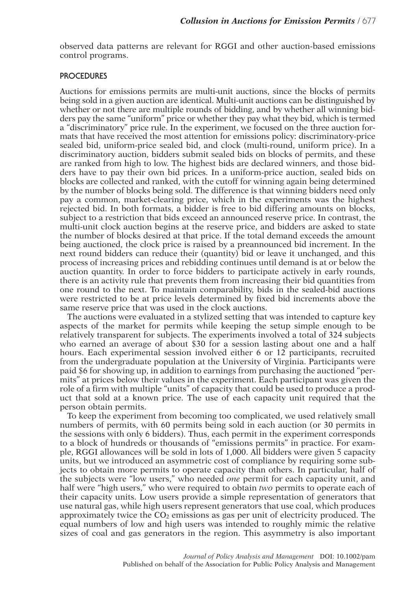observed data patterns are relevant for RGGI and other auction-based emissions control programs.

## **PROCEDURES**

Auctions for emissions permits are multi-unit auctions, since the blocks of permits being sold in a given auction are identical. Multi-unit auctions can be distinguished by whether or not there are multiple rounds of bidding, and by whether all winning bidders pay the same "uniform" price or whether they pay what they bid, which is termed a "discriminatory" price rule. In the experiment, we focused on the three auction formats that have received the most attention for emissions policy: discriminatory-price sealed bid, uniform-price sealed bid, and clock (multi-round, uniform price). In a discriminatory auction, bidders submit sealed bids on blocks of permits, and these are ranked from high to low. The highest bids are declared winners, and those bidders have to pay their own bid prices. In a uniform-price auction, sealed bids on blocks are collected and ranked, with the cutoff for winning again being determined by the number of blocks being sold. The difference is that winning bidders need only pay a common, market-clearing price, which in the experiments was the highest rejected bid. In both formats, a bidder is free to bid differing amounts on blocks, subject to a restriction that bids exceed an announced reserve price. In contrast, the multi-unit clock auction begins at the reserve price, and bidders are asked to state the number of blocks desired at that price. If the total demand exceeds the amount being auctioned, the clock price is raised by a preannounced bid increment. In the next round bidders can reduce their (quantity) bid or leave it unchanged, and this process of increasing prices and rebidding continues until demand is at or below the auction quantity. In order to force bidders to participate actively in early rounds, there is an activity rule that prevents them from increasing their bid quantities from one round to the next. To maintain comparability, bids in the sealed-bid auctions were restricted to be at price levels determined by fixed bid increments above the same reserve price that was used in the clock auctions.

The auctions were evaluated in a stylized setting that was intended to capture key aspects of the market for permits while keeping the setup simple enough to be relatively transparent for subjects. The experiments involved a total of 324 subjects who earned an average of about \$30 for a session lasting about one and a half hours. Each experimental session involved either 6 or 12 participants, recruited from the undergraduate population at the University of Virginia. Participants were paid \$6 for showing up, in addition to earnings from purchasing the auctioned "permits" at prices below their values in the experiment. Each participant was given the role of a firm with multiple "units" of capacity that could be used to produce a product that sold at a known price. The use of each capacity unit required that the person obtain permits.

To keep the experiment from becoming too complicated, we used relatively small numbers of permits, with 60 permits being sold in each auction (or 30 permits in the sessions with only 6 bidders). Thus, each permit in the experiment corresponds to a block of hundreds or thousands of "emissions permits" in practice. For example, RGGI allowances will be sold in lots of 1,000. All bidders were given 5 capacity units, but we introduced an asymmetric cost of compliance by requiring some subjects to obtain more permits to operate capacity than others. In particular, half of the subjects were "low users," who needed *one* permit for each capacity unit, and half were "high users," who were required to obtain *two* permits to operate each of their capacity units. Low users provide a simple representation of generators that use natural gas, while high users represent generators that use coal, which produces approximately twice the  $CO<sub>2</sub>$  emissions as gas per unit of electricity produced. The equal numbers of low and high users was intended to roughly mimic the relative sizes of coal and gas generators in the region. This asymmetry is also important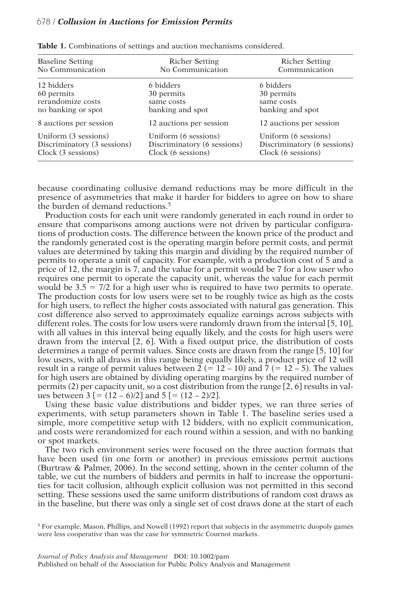| <b>Baseline Setting</b>     | <b>Richer Setting</b>       | <b>Richer Setting</b>       |
|-----------------------------|-----------------------------|-----------------------------|
| No Communication            | No Communication            | Communication               |
| 12 bidders                  | 6 bidders                   | 6 bidders                   |
| 60 permits                  | 30 permits                  | 30 permits                  |
| rerandomize costs           | same costs                  | same costs                  |
| no banking or spot          | banking and spot            | banking and spot            |
| 8 auctions per session      | 12 auctions per session     | 12 auctions per session     |
| Uniform (3 sessions)        | Uniform (6 sessions)        | Uniform (6 sessions)        |
| Discriminatory (3 sessions) | Discriminatory (6 sessions) | Discriminatory (6 sessions) |
| Clock (3 sessions)          | Clock (6 sessions)          | Clock (6 sessions)          |

|  |  | Table 1. Combinations of settings and auction mechanisms considered. |  |  |  |  |  |  |
|--|--|----------------------------------------------------------------------|--|--|--|--|--|--|
|--|--|----------------------------------------------------------------------|--|--|--|--|--|--|

because coordinating collusive demand reductions may be more difficult in the presence of asymmetries that make it harder for bidders to agree on how to share the burden of demand reductions.<sup>5</sup>

Production costs for each unit were randomly generated in each round in order to ensure that comparisons among auctions were not driven by particular configurations of production costs. The difference between the known price of the product and the randomly generated cost is the operating margin before permit costs, and permit values are determined by taking this margin and dividing by the required number of permits to operate a unit of capacity. For example, with a production cost of 5 and a price of 12, the margin is 7, and the value for a permit would be 7 for a low user who requires one permit to operate the capacity unit, whereas the value for each permit would be  $3.5 = 7/2$  for a high user who is required to have two permits to operate. The production costs for low users were set to be roughly twice as high as the costs for high users, to reflect the higher costs associated with natural gas generation. This cost difference also served to approximately equalize earnings across subjects with different roles. The costs for low users were randomly drawn from the interval [5, 10], with all values in this interval being equally likely, and the costs for high users were drawn from the interval [2, 6]. With a fixed output price, the distribution of costs determines a range of permit values. Since costs are drawn from the range [5, 10] for low users, with all draws in this range being equally likely, a product price of 12 will result in a range of permit values between  $2 (= 12 – 10)$  and  $7 (= 12 – 5)$ . The values for high users are obtained by dividing operating margins by the required number of permits (2) per capacity unit, so a cost distribution from the range  $\lbrack 2, 6 \rbrack$  results in values between  $3$  [ =  $(12 – 6)/2$ ] and  $5$  [ =  $(12 – 2)/2$ ].

Using these basic value distributions and bidder types, we ran three series of experiments, with setup parameters shown in Table 1. The baseline series used a simple, more competitive setup with 12 bidders, with no explicit communication, and costs were rerandomized for each round within a session, and with no banking or spot markets.

The two rich environment series were focused on the three auction formats that have been used (in one form or another) in previous emissions permit auctions (Burtraw & Palmer, 2006). In the second setting, shown in the center column of the table, we cut the numbers of bidders and permits in half to increase the opportunities for tacit collusion, although explicit collusion was not permitted in this second setting. These sessions used the same uniform distributions of random cost draws as in the baseline, but there was only a single set of cost draws done at the start of each

<sup>5</sup> For example, Mason, Phillips, and Nowell (1992) report that subjects in the asymmetric duopoly games were less cooperative than was the case for symmetric Cournot markets.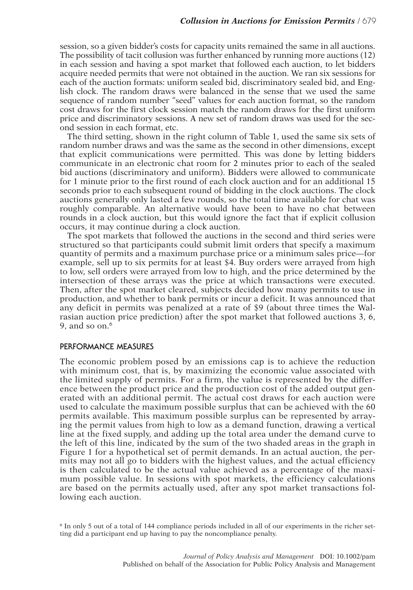session, so a given bidder's costs for capacity units remained the same in all auctions. The possibility of tacit collusion was further enhanced by running more auctions (12) in each session and having a spot market that followed each auction, to let bidders acquire needed permits that were not obtained in the auction. We ran six sessions for each of the auction formats: uniform sealed bid, discriminatory sealed bid, and English clock. The random draws were balanced in the sense that we used the same sequence of random number "seed" values for each auction format, so the random cost draws for the first clock session match the random draws for the first uniform price and discriminatory sessions. A new set of random draws was used for the second session in each format, etc.

The third setting, shown in the right column of Table 1, used the same six sets of random number draws and was the same as the second in other dimensions, except that explicit communications were permitted. This was done by letting bidders communicate in an electronic chat room for 2 minutes prior to each of the sealed bid auctions (discriminatory and uniform). Bidders were allowed to communicate for 1 minute prior to the first round of each clock auction and for an additional 15 seconds prior to each subsequent round of bidding in the clock auctions. The clock auctions generally only lasted a few rounds, so the total time available for chat was roughly comparable. An alternative would have been to have no chat between rounds in a clock auction, but this would ignore the fact that if explicit collusion occurs, it may continue during a clock auction.

The spot markets that followed the auctions in the second and third series were structured so that participants could submit limit orders that specify a maximum quantity of permits and a maximum purchase price or a minimum sales price—for example, sell up to six permits for at least \$4. Buy orders were arrayed from high to low, sell orders were arrayed from low to high, and the price determined by the intersection of these arrays was the price at which transactions were executed. Then, after the spot market cleared, subjects decided how many permits to use in production, and whether to bank permits or incur a deficit. It was announced that any deficit in permits was penalized at a rate of \$9 (about three times the Walrasian auction price prediction) after the spot market that followed auctions 3, 6, 9, and so on. $6$ 

## **PERFORMANCE MEASURES**

The economic problem posed by an emissions cap is to achieve the reduction with minimum cost, that is, by maximizing the economic value associated with the limited supply of permits. For a firm, the value is represented by the difference between the product price and the production cost of the added output generated with an additional permit. The actual cost draws for each auction were used to calculate the maximum possible surplus that can be achieved with the 60 permits available. This maximum possible surplus can be represented by arraying the permit values from high to low as a demand function, drawing a vertical line at the fixed supply, and adding up the total area under the demand curve to the left of this line, indicated by the sum of the two shaded areas in the graph in Figure 1 for a hypothetical set of permit demands. In an actual auction, the permits may not all go to bidders with the highest values, and the actual efficiency is then calculated to be the actual value achieved as a percentage of the maximum possible value. In sessions with spot markets, the efficiency calculations are based on the permits actually used, after any spot market transactions following each auction.

<sup>6</sup> In only 5 out of a total of 144 compliance periods included in all of our experiments in the richer setting did a participant end up having to pay the noncompliance penalty.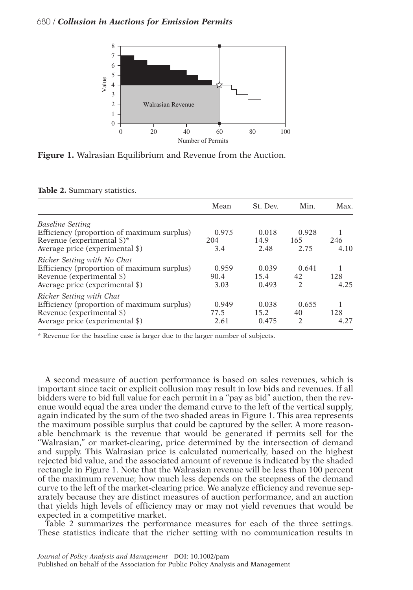

**Figure 1.** Walrasian Equilibrium and Revenue from the Auction.

| Table 2. Summary statistics. |  |
|------------------------------|--|
|------------------------------|--|

|                                            | Mean  | St. Dev. | Min.          | Max. |
|--------------------------------------------|-------|----------|---------------|------|
| <b>Baseline Setting</b>                    |       |          |               |      |
| Efficiency (proportion of maximum surplus) | 0.975 | 0.018    | 0.928         |      |
| Revenue (experimental \$)*                 | 204   | 14.9     | 165           | 246  |
| Average price (experimental \$)            | 3.4   | 2.48     | 2.75          | 4.10 |
| Richer Setting with No Chat                |       |          |               |      |
| Efficiency (proportion of maximum surplus) | 0.959 | 0.039    | 0.641         |      |
| Revenue (experimental \$)                  | 90.4  | 15.4     | 42            | 128  |
| Average price (experimental \$)            | 3.03  | 0.493    | $\mathcal{L}$ | 4.25 |
| <b>Richer Setting with Chat</b>            |       |          |               |      |
| Efficiency (proportion of maximum surplus) | 0.949 | 0.038    | 0.655         |      |
| Revenue (experimental \$)                  | 77.5  | 15.2     | 40            | 128  |
| Average price (experimental \$)            | 2.61  | 0.475    | 2             | 4.27 |

\* Revenue for the baseline case is larger due to the larger number of subjects.

A second measure of auction performance is based on sales revenues, which is important since tacit or explicit collusion may result in low bids and revenues. If all bidders were to bid full value for each permit in a "pay as bid" auction, then the revenue would equal the area under the demand curve to the left of the vertical supply, again indicated by the sum of the two shaded areas in Figure 1. This area represents the maximum possible surplus that could be captured by the seller. A more reasonable benchmark is the revenue that would be generated if permits sell for the "Walrasian," or market-clearing, price determined by the intersection of demand and supply. This Walrasian price is calculated numerically, based on the highest rejected bid value, and the associated amount of revenue is indicated by the shaded rectangle in Figure 1. Note that the Walrasian revenue will be less than 100 percent of the maximum revenue; how much less depends on the steepness of the demand curve to the left of the market-clearing price. We analyze efficiency and revenue separately because they are distinct measures of auction performance, and an auction that yields high levels of efficiency may or may not yield revenues that would be expected in a competitive market.

Table 2 summarizes the performance measures for each of the three settings. These statistics indicate that the richer setting with no communication results in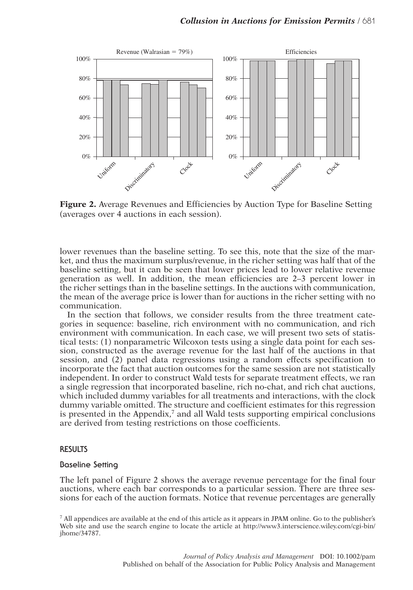

**Figure 2.** Average Revenues and Efficiencies by Auction Type for Baseline Setting (averages over 4 auctions in each session).

lower revenues than the baseline setting. To see this, note that the size of the market, and thus the maximum surplus/revenue, in the richer setting was half that of the baseline setting, but it can be seen that lower prices lead to lower relative revenue generation as well. In addition, the mean efficiencies are 2–3 percent lower in the richer settings than in the baseline settings. In the auctions with communication, the mean of the average price is lower than for auctions in the richer setting with no communication.

In the section that follows, we consider results from the three treatment categories in sequence: baseline, rich environment with no communication, and rich environment with communication. In each case, we will present two sets of statistical tests: (1) nonparametric Wilcoxon tests using a single data point for each session, constructed as the average revenue for the last half of the auctions in that session, and (2) panel data regressions using a random effects specification to incorporate the fact that auction outcomes for the same session are not statistically independent. In order to construct Wald tests for separate treatment effects, we ran a single regression that incorporated baseline, rich no-chat, and rich chat auctions, which included dummy variables for all treatments and interactions, with the clock dummy variable omitted. The structure and coefficient estimates for this regression is presented in the Appendix, $\bar{7}$  and all Wald tests supporting empirical conclusions are derived from testing restrictions on those coefficients.

## **RESULTS**

#### **Baseline Setting**

The left panel of Figure 2 shows the average revenue percentage for the final four auctions, where each bar corresponds to a particular session. There are three sessions for each of the auction formats. Notice that revenue percentages are generally

<sup>7</sup> All appendices are available at the end of this article as it appears in JPAM online. Go to the publisher's Web site and use the search engine to locate the article at http://www3.interscience.wiley.com/cgi-bin/ jhome/34787.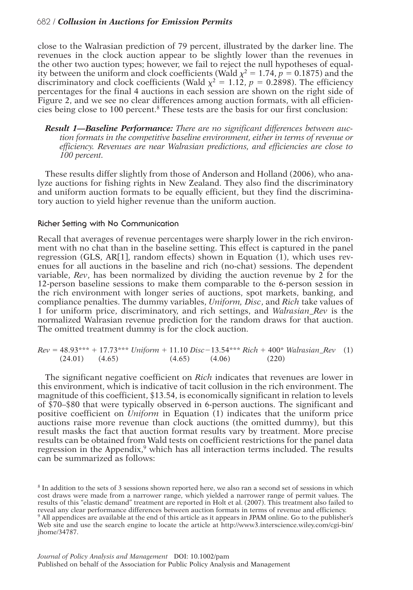close to the Walrasian prediction of 79 percent, illustrated by the darker line. The revenues in the clock auction appear to be slightly lower than the revenues in the other two auction types; however, we fail to reject the null hypotheses of equality between the uniform and clock coefficients (Wald  $\chi^2 = 1.74$ ,  $p = 0.1875$ ) and the discriminatory and clock coefficients (Wald  $\chi^2 = 1.12$ ,  $p = 0.2898$ ). The efficiency percentages for the final 4 auctions in each session are shown on the right side of Figure 2, and we see no clear differences among auction formats, with all efficiencies being close to 100 percent. $8$  These tests are the basis for our first conclusion:

*Result 1—Baseline Performance: There are no significant differences between auction formats in the competitive baseline environment, either in terms of revenue or efficiency. Revenues are near Walrasian predictions, and efficiencies are close to 100 percent.*

These results differ slightly from those of Anderson and Holland (2006), who analyze auctions for fishing rights in New Zealand. They also find the discriminatory and uniform auction formats to be equally efficient, but they find the discriminatory auction to yield higher revenue than the uniform auction.

#### **Richer Setting with No Communication**

Recall that averages of revenue percentages were sharply lower in the rich environment with no chat than in the baseline setting. This effect is captured in the panel regression (GLS, AR[1], random effects) shown in Equation (1), which uses revenues for all auctions in the baseline and rich (no-chat) sessions. The dependent variable, *Rev*, has been normalized by dividing the auction revenue by 2 for the 12-person baseline sessions to make them comparable to the 6-person session in the rich environment with longer series of auctions, spot markets, banking, and compliance penalties. The dummy variables, *Uniform, Disc*, and *Rich* take values of 1 for uniform price, discriminatory, and rich settings, and *Walrasian\_Rev* is the normalized Walrasian revenue prediction for the random draws for that auction. The omitted treatment dummy is for the clock auction.

|                    |        |        | $Rev = 48.93*** + 17.73***$ Uniform + 11.10 Disc - 13.54*** Rich + 400* Walrasian_Rev (1) |  |
|--------------------|--------|--------|-------------------------------------------------------------------------------------------|--|
| $(24.01)$ $(4.65)$ | (4.65) | (4.06) | (220)                                                                                     |  |

The significant negative coefficient on *Rich* indicates that revenues are lower in this environment, which is indicative of tacit collusion in the rich environment. The magnitude of this coefficient, \$13.54, is economically significant in relation to levels of \$70–\$80 that were typically observed in 6-person auctions. The significant and positive coefficient on *Uniform* in Equation (1) indicates that the uniform price auctions raise more revenue than clock auctions (the omitted dummy), but this result masks the fact that auction format results vary by treatment. More precise results can be obtained from Wald tests on coefficient restrictions for the panel data regression in the Appendix, $9$  which has all interaction terms included. The results can be summarized as follows:

<sup>8</sup> In addition to the sets of 3 sessions shown reported here, we also ran a second set of sessions in which cost draws were made from a narrower range, which yielded a narrower range of permit values. The results of this "elastic demand" treatment are reported in Holt et al. (2007). This treatment also failed to reveal any clear performance differences between auction formats in terms of revenue and efficiency. <sup>9</sup> All appendices are available at the end of this article as it appears in JPAM online. Go to the publisher's Web site and use the search engine to locate the article at http://www3.interscience.wiley.com/cgi-bin/ jhome/34787.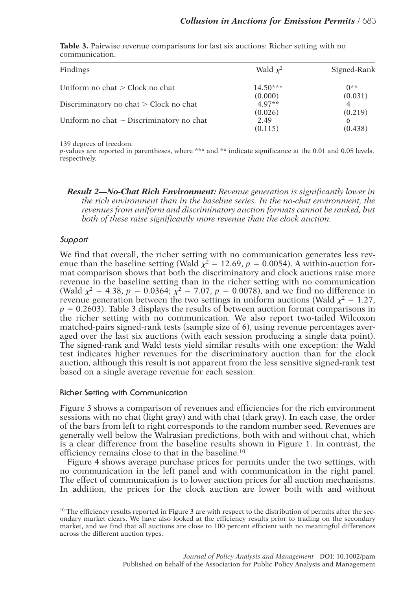| Findings                                      | Wald $x^2$ | Signed-Rank |
|-----------------------------------------------|------------|-------------|
| Uniform no chat $>$ Clock no chat             | $14.50***$ | ∩**         |
|                                               | (0.000)    | (0.031)     |
| Discriminatory no chat $>$ Clock no chat      | $4.97**$   |             |
|                                               | (0.026)    | (0.219)     |
| Uniform no chat $\sim$ Discriminatory no chat | 2.49       |             |
|                                               | (0.115)    | (0.438)     |

**Table 3.** Pairwise revenue comparisons for last six auctions: Richer setting with no communication.

139 degrees of freedom.

*p*-values are reported in parentheses, where \*\*\* and \*\* indicate significance at the 0.01 and 0.05 levels, respectively.

*Result 2—No-Chat Rich Environment: Revenue generation is significantly lower in the rich environment than in the baseline series. In the no-chat environment, the revenues from uniform and discriminatory auction formats cannot be ranked, but both of these raise significantly more revenue than the clock auction.*

#### **Support**

We find that overall, the richer setting with no communication generates less revenue than the baseline setting (Wald  $\chi^2 = 12.69$ ,  $p = 0.0054$ ). A within-auction format comparison shows that both the discriminatory and clock auctions raise more revenue in the baseline setting than in the richer setting with no communication (Wald  $\chi^2 = 4.38$ ,  $p = 0.0364$ ;  $\bar{\chi}^2 = 7.07$ ,  $p = 0.0078$ ), and we find no difference in revenue generation between the two settings in uniform auctions (Wald  $\chi^2 = 1.27$ ,  $p = 0.2603$ ). Table 3 displays the results of between auction format comparisons in the richer setting with no communication. We also report two-tailed Wilcoxon matched-pairs signed-rank tests (sample size of 6), using revenue percentages averaged over the last six auctions (with each session producing a single data point). The signed-rank and Wald tests yield similar results with one exception: the Wald test indicates higher revenues for the discriminatory auction than for the clock auction, although this result is not apparent from the less sensitive signed-rank test based on a single average revenue for each session.

#### **Richer Setting with Communication**

Figure 3 shows a comparison of revenues and efficiencies for the rich environment sessions with no chat (light gray) and with chat (dark gray). In each case, the order of the bars from left to right corresponds to the random number seed. Revenues are generally well below the Walrasian predictions, both with and without chat, which is a clear difference from the baseline results shown in Figure 1. In contrast, the efficiency remains close to that in the baseline.10

Figure 4 shows average purchase prices for permits under the two settings, with no communication in the left panel and with communication in the right panel. The effect of communication is to lower auction prices for all auction mechanisms. In addition, the prices for the clock auction are lower both with and without

 $10$  The efficiency results reported in Figure 3 are with respect to the distribution of permits after the secondary market clears. We have also looked at the efficiency results prior to trading on the secondary market, and we find that all auctions are close to 100 percent efficient with no meaningful differences across the different auction types.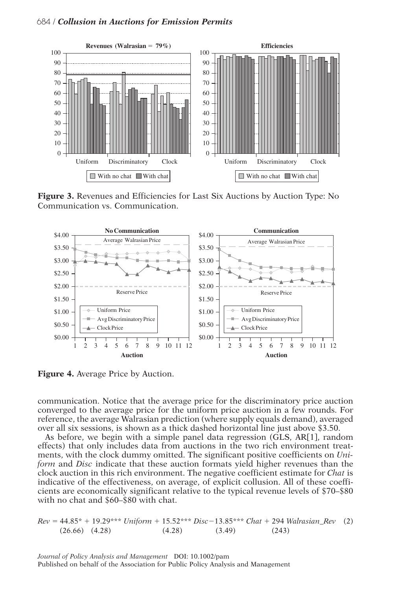

**Figure 3.** Revenues and Efficiencies for Last Six Auctions by Auction Type: No Communication vs. Communication.



**Figure 4.** Average Price by Auction.

communication. Notice that the average price for the discriminatory price auction converged to the average price for the uniform price auction in a few rounds. For reference, the average Walrasian prediction (where supply equals demand), averaged over all six sessions, is shown as a thick dashed horizontal line just above \$3.50.

As before, we begin with a simple panel data regression (GLS, AR[1], random effects) that only includes data from auctions in the two rich environment treatments, with the clock dummy omitted. The significant positive coefficients on *Uniform* and *Disc* indicate that these auction formats yield higher revenues than the clock auction in this rich environment. The negative coefficient estimate for *Chat* is indicative of the effectiveness, on average, of explicit collusion. All of these coefficients are economically significant relative to the typical revenue levels of \$70–\$80 with no chat and \$60–\$80 with chat.

$$
Rev = 44.85^* + 19.29^{***}
$$
 Uniform + 15.52<sup>\*\*\*</sup> Disc -13.85<sup>\*\*\*</sup> Chat + 294 Walrasian\\_Rev (2)  
(26.66) (4.28) (4.28) (3.49) (243)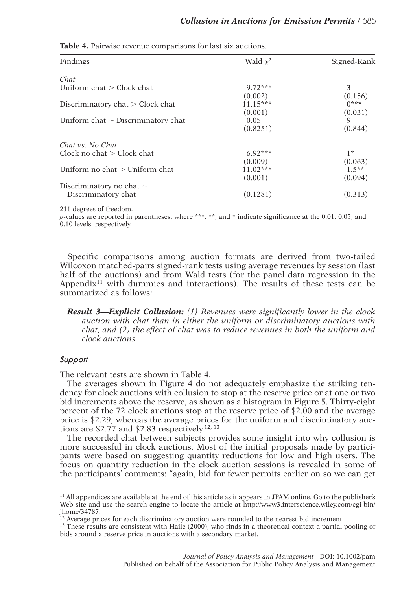| Findings                                  | Wald $x^2$ | Signed-Rank |
|-------------------------------------------|------------|-------------|
| Chat                                      |            |             |
| Uniform $\text{chat} > \text{Clock}$ chat | $9.72***$  | 3           |
|                                           | (0.002)    | (0.156)     |
| Discriminatory chat $>$ Clock chat        | $11.15***$ | $0***$      |
|                                           | (0.001)    | (0.031)     |
| Uniform chat $\sim$ Discriminatory chat   | 0.05       | 9           |
|                                           | (0.8251)   | (0.844)     |
| Chat vs. No Chat                          |            |             |
| Clock no chat $>$ Clock chat              | $6.92***$  | $1*$        |
|                                           | (0.009)    | (0.063)     |
| Uniform no chat $>$ Uniform chat          | $11.02***$ | $1.5***$    |
|                                           | (0.001)    | (0.094)     |
| Discriminatory no chat $\sim$             |            |             |
| Discriminatory chat                       | (0.1281)   | (0.313)     |

**Table 4.** Pairwise revenue comparisons for last six auctions.

211 degrees of freedom.

*p*-values are reported in parentheses, where \*\*\*, \*\*, and \* indicate significance at the 0.01, 0.05, and 0.10 levels, respectively.

Specific comparisons among auction formats are derived from two-tailed Wilcoxon matched-pairs signed-rank tests using average revenues by session (last half of the auctions) and from Wald tests (for the panel data regression in the Appendix<sup>11</sup> with dummies and interactions). The results of these tests can be summarized as follows:

*Result 3—Explicit Collusion: (1) Revenues were significantly lower in the clock auction with chat than in either the uniform or discriminatory auctions with chat, and (2) the effect of chat was to reduce revenues in both the uniform and clock auctions.*

#### **Support**

The relevant tests are shown in Table 4.

The averages shown in Figure 4 do not adequately emphasize the striking tendency for clock auctions with collusion to stop at the reserve price or at one or two bid increments above the reserve, as shown as a histogram in Figure 5. Thirty-eight percent of the 72 clock auctions stop at the reserve price of \$2.00 and the average price is \$2.29, whereas the average prices for the uniform and discriminatory auctions are \$2.77 and \$2.83 respectively.12, 13

The recorded chat between subjects provides some insight into why collusion is more successful in clock auctions. Most of the initial proposals made by participants were based on suggesting quantity reductions for low and high users. The focus on quantity reduction in the clock auction sessions is revealed in some of the participants' comments: "again, bid for fewer permits earlier on so we can get

<sup>13</sup> These results are consistent with Haile (2000), who finds in a theoretical context a partial pooling of bids around a reserve price in auctions with a secondary market.

<sup>11</sup> All appendices are available at the end of this article as it appears in JPAM online. Go to the publisher's Web site and use the search engine to locate the article at http://www3.interscience.wiley.com/cgi-bin/ jhome/34787.

 $12$  Average prices for each discriminatory auction were rounded to the nearest bid increment.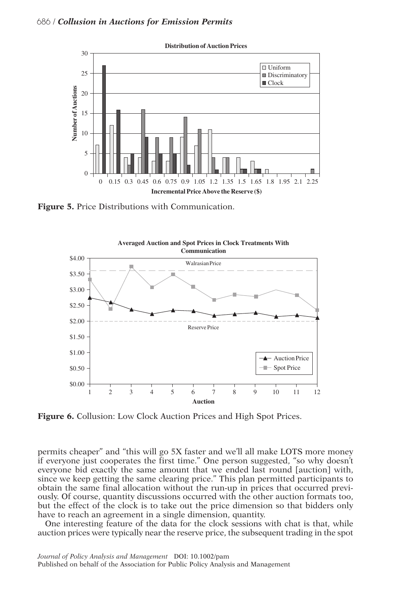

**Figure 5.** Price Distributions with Communication.



**Figure 6.** Collusion: Low Clock Auction Prices and High Spot Prices.

permits cheaper" and "this will go 5X faster and we'll all make LOTS more money if everyone just cooperates the first time." One person suggested, "so why doesn't everyone bid exactly the same amount that we ended last round [auction] with, since we keep getting the same clearing price." This plan permitted participants to obtain the same final allocation without the run-up in prices that occurred previously. Of course, quantity discussions occurred with the other auction formats too, but the effect of the clock is to take out the price dimension so that bidders only have to reach an agreement in a single dimension, quantity.

One interesting feature of the data for the clock sessions with chat is that, while auction prices were typically near the reserve price, the subsequent trading in the spot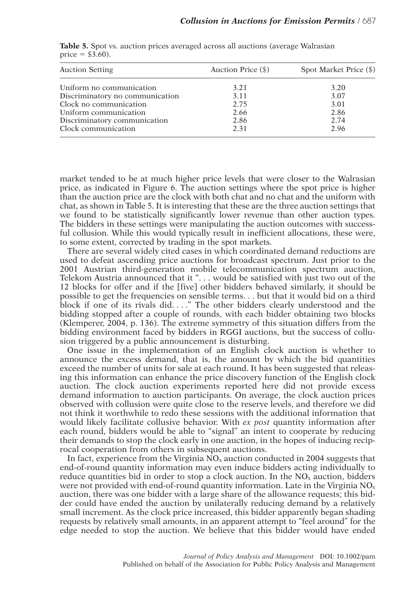| <b>Auction Setting</b>          | Auction Price (\$) | Spot Market Price (\$) |  |
|---------------------------------|--------------------|------------------------|--|
| Uniform no communication        | 3.21               | 3.20                   |  |
| Discriminatory no communication | 3.11               | 3.07                   |  |
| Clock no communication          | 2.75               | 3.01                   |  |
| Uniform communication           | 2.66               | 2.86                   |  |
| Discriminatory communication    | 2.86               | 2.74                   |  |
| Clock communication             | 2.31               | 2.96                   |  |

**Table 5.** Spot vs. auction prices averaged across all auctions (average Walrasian price  $=$  \$3.60).

market tended to be at much higher price levels that were closer to the Walrasian price, as indicated in Figure 6. The auction settings where the spot price is higher than the auction price are the clock with both chat and no chat and the uniform with chat, as shown in Table 5. It is interesting that these are the three auction settings that we found to be statistically significantly lower revenue than other auction types. The bidders in these settings were manipulating the auction outcomes with successful collusion. While this would typically result in inefficient allocations, these were, to some extent, corrected by trading in the spot markets.

There are several widely cited cases in which coordinated demand reductions are used to defeat ascending price auctions for broadcast spectrum. Just prior to the 2001 Austrian third-generation mobile telecommunication spectrum auction, Telekom Austria announced that it ". . . would be satisfied with just two out of the 12 blocks for offer and if the [five] other bidders behaved similarly, it should be possible to get the frequencies on sensible terms. . . but that it would bid on a third block if one of its rivals did. . . ." The other bidders clearly understood and the bidding stopped after a couple of rounds, with each bidder obtaining two blocks (Klemperer, 2004, p. 136). The extreme symmetry of this situation differs from the bidding environment faced by bidders in RGGI auctions, but the success of collusion triggered by a public announcement is disturbing.

One issue in the implementation of an English clock auction is whether to announce the excess demand, that is, the amount by which the bid quantities exceed the number of units for sale at each round. It has been suggested that releasing this information can enhance the price discovery function of the English clock auction. The clock auction experiments reported here did not provide excess demand information to auction participants. On average, the clock auction prices observed with collusion were quite close to the reserve levels, and therefore we did not think it worthwhile to redo these sessions with the additional information that would likely facilitate collusive behavior. With *ex post* quantity information after each round, bidders would be able to "signal" an intent to cooperate by reducing their demands to stop the clock early in one auction, in the hopes of inducing reciprocal cooperation from others in subsequent auctions.

In fact, experience from the Virginia  $NO<sub>x</sub>$  auction conducted in 2004 suggests that end-of-round quantity information may even induce bidders acting individually to reduce quantities bid in order to stop a clock auction. In the  $NO<sub>x</sub>$  auction, bidders were not provided with end-of-round quantity information. Late in the Virginia  $NO<sub>x</sub>$ auction, there was one bidder with a large share of the allowance requests; this bidder could have ended the auction by unilaterally reducing demand by a relatively small increment. As the clock price increased, this bidder apparently began shading requests by relatively small amounts, in an apparent attempt to "feel around" for the edge needed to stop the auction. We believe that this bidder would have ended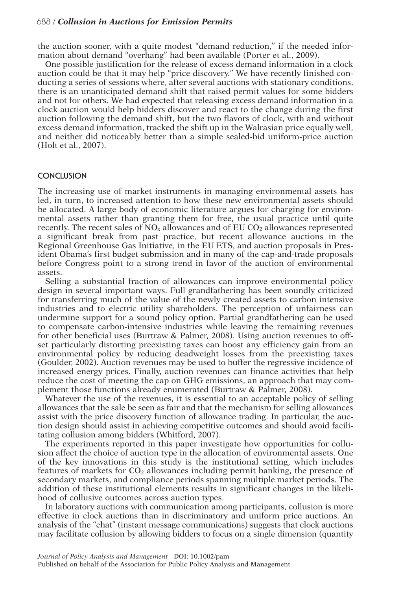the auction sooner, with a quite modest "demand reduction," if the needed information about demand "overhang" had been available (Porter et al., 2009).

One possible justification for the release of excess demand information in a clock auction could be that it may help "price discovery." We have recently finished conducting a series of sessions where, after several auctions with stationary conditions, there is an unanticipated demand shift that raised permit values for some bidders and not for others. We had expected that releasing excess demand information in a clock auction would help bidders discover and react to the change during the first auction following the demand shift, but the two flavors of clock, with and without excess demand information, tracked the shift up in the Walrasian price equally well, and neither did noticeably better than a simple sealed-bid uniform-price auction (Holt et al., 2007).

## **CONCLUSION**

The increasing use of market instruments in managing environmental assets has led, in turn, to increased attention to how these new environmental assets should be allocated. A large body of economic literature argues for charging for environmental assets rather than granting them for free, the usual practice until quite recently. The recent sales of  $NO<sub>x</sub>$  allowances and of EU CO<sub>2</sub> allowances represented a significant break from past practice, but recent allowance auctions in the Regional Greenhouse Gas Initiative, in the EU ETS, and auction proposals in President Obama's first budget submission and in many of the cap-and-trade proposals before Congress point to a strong trend in favor of the auction of environmental assets.

Selling a substantial fraction of allowances can improve environmental policy design in several important ways. Full grandfathering has been soundly criticized for transferring much of the value of the newly created assets to carbon intensive industries and to electric utility shareholders. The perception of unfairness can undermine support for a sound policy option. Partial grandfathering can be used to compensate carbon-intensive industries while leaving the remaining revenues for other beneficial uses (Burtraw & Palmer, 2008). Using auction revenues to offset particularly distorting preexisting taxes can boost any efficiency gain from an environmental policy by reducing deadweight losses from the preexisting taxes (Goulder, 2002). Auction revenues may be used to buffer the regressive incidence of increased energy prices. Finally, auction revenues can finance activities that help reduce the cost of meeting the cap on GHG emissions, an approach that may complement those functions already enumerated (Burtraw & Palmer, 2008).

Whatever the use of the revenues, it is essential to an acceptable policy of selling allowances that the sale be seen as fair and that the mechanism for selling allowances assist with the price discovery function of allowance trading. In particular, the auction design should assist in achieving competitive outcomes and should avoid facilitating collusion among bidders (Whitford, 2007).

The experiments reported in this paper investigate how opportunities for collusion affect the choice of auction type in the allocation of environmental assets. One of the key innovations in this study is the institutional setting, which includes features of markets for  $CO<sub>2</sub>$  allowances including permit banking, the presence of secondary markets, and compliance periods spanning multiple market periods. The addition of these institutional elements results in significant changes in the likelihood of collusive outcomes across auction types.

In laboratory auctions with communication among participants, collusion is more effective in clock auctions than in discriminatory and uniform price auctions. An analysis of the "chat" (instant message communications) suggests that clock auctions may facilitate collusion by allowing bidders to focus on a single dimension (quantity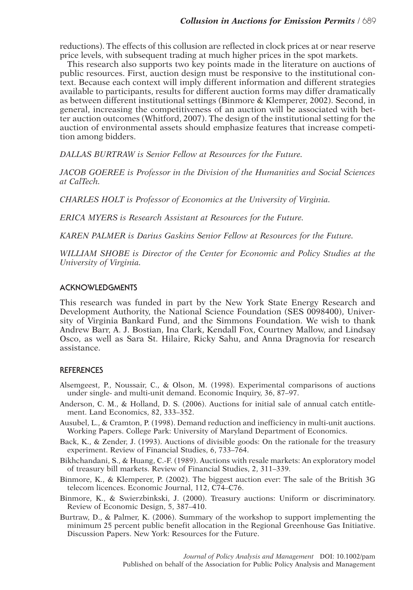reductions). The effects of this collusion are reflected in clock prices at or near reserve price levels, with subsequent trading at much higher prices in the spot markets.

This research also supports two key points made in the literature on auctions of public resources. First, auction design must be responsive to the institutional context. Because each context will imply different information and different strategies available to participants, results for different auction forms may differ dramatically as between different institutional settings (Binmore & Klemperer, 2002). Second, in general, increasing the competitiveness of an auction will be associated with better auction outcomes (Whitford, 2007). The design of the institutional setting for the auction of environmental assets should emphasize features that increase competition among bidders.

*DALLAS BURTRAW is Senior Fellow at Resources for the Future.*

*JACOB GOEREE is Professor in the Division of the Humanities and Social Sciences at CalTech.*

*CHARLES HOLT is Professor of Economics at the University of Virginia.*

*ERICA MYERS is Research Assistant at Resources for the Future.*

*KAREN PALMER is Darius Gaskins Senior Fellow at Resources for the Future.*

*WILLIAM SHOBE is Director of the Center for Economic and Policy Studies at the University of Virginia.*

## **ACKNOWLEDGMENTS**

This research was funded in part by the New York State Energy Research and Development Authority, the National Science Foundation (SES 0098400), University of Virginia Bankard Fund, and the Simmons Foundation. We wish to thank Andrew Barr, A. J. Bostian, Ina Clark, Kendall Fox, Courtney Mallow, and Lindsay Osco, as well as Sara St. Hilaire, Ricky Sahu, and Anna Dragnovia for research assistance.

## **REFERENCES**

- Alsemgeest, P., Noussair, C., & Olson, M. (1998). Experimental comparisons of auctions under single- and multi-unit demand. Economic Inquiry, 36, 87–97.
- Anderson, C. M., & Holland, D. S. (2006). Auctions for initial sale of annual catch entitlement. Land Economics, 82, 333–352.
- Ausubel, L., & Cramton, P. (1998). Demand reduction and inefficiency in multi-unit auctions. Working Papers. College Park: University of Maryland Department of Economics.
- Back, K., & Zender, J. (1993). Auctions of divisible goods: On the rationale for the treasury experiment. Review of Financial Studies, 6, 733–764.
- Bikhchandani, S., & Huang, C.-F. (1989). Auctions with resale markets: An exploratory model of treasury bill markets. Review of Financial Studies, 2, 311–339.
- Binmore, K., & Klemperer, P. (2002). The biggest auction ever: The sale of the British 3G telecom licences. Economic Journal, 112, C74–C76.
- Binmore, K., & Swierzbinkski, J. (2000). Treasury auctions: Uniform or discriminatory. Review of Economic Design, 5, 387–410.
- Burtraw, D., & Palmer, K. (2006). Summary of the workshop to support implementing the minimum 25 percent public benefit allocation in the Regional Greenhouse Gas Initiative. Discussion Papers. New York: Resources for the Future.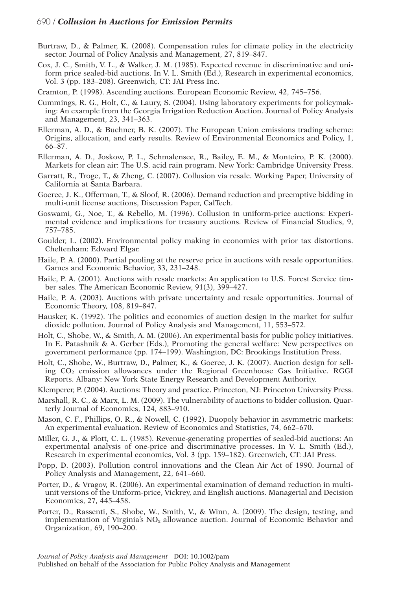- Burtraw, D., & Palmer, K. (2008). Compensation rules for climate policy in the electricity sector. Journal of Policy Analysis and Management, 27, 819–847.
- Cox, J. C., Smith, V. L., & Walker, J. M. (1985). Expected revenue in discriminative and uniform price sealed-bid auctions. In V. L. Smith (Ed.), Research in experimental economics, Vol. 3 (pp. 183–208). Greenwich, CT: JAI Press Inc.
- Cramton, P. (1998). Ascending auctions. European Economic Review, 42, 745–756.
- Cummings, R. G., Holt, C., & Laury, S. (2004). Using laboratory experiments for policymaking: An example from the Georgia Irrigation Reduction Auction. Journal of Policy Analysis and Management, 23, 341–363.
- Ellerman, A. D., & Buchner, B. K. (2007). The European Union emissions trading scheme: Origins, allocation, and early results. Review of Environmental Economics and Policy, 1, 66–87.
- Ellerman, A. D., Joskow, P. L., Schmalensee, R., Bailey, E. M., & Monteiro, P. K. (2000). Markets for clean air: The U.S. acid rain program. New York: Cambridge University Press.
- Garratt, R., Troge, T., & Zheng, C. (2007). Collusion via resale. Working Paper, University of California at Santa Barbara.
- Goeree, J. K., Offerman, T., & Sloof, R. (2006). Demand reduction and preemptive bidding in multi-unit license auctions, Discussion Paper, CalTech.
- Goswami, G., Noe, T., & Rebello, M. (1996). Collusion in uniform-price auctions: Experimental evidence and implications for treasury auctions. Review of Financial Studies, 9, 757–785.
- Goulder, L. (2002). Environmental policy making in economies with prior tax distortions. Cheltenham: Edward Elgar.
- Haile, P. A. (2000). Partial pooling at the reserve price in auctions with resale opportunities. Games and Economic Behavior, 33, 231–248.
- Haile, P. A. (2001). Auctions with resale markets: An application to U.S. Forest Service timber sales. The American Economic Review, 91(3), 399–427.
- Haile, P. A. (2003). Auctions with private uncertainty and resale opportunities. Journal of Economic Theory, 108, 819–847.
- Hausker, K. (1992). The politics and economics of auction design in the market for sulfur dioxide pollution. Journal of Policy Analysis and Management, 11, 553–572.
- Holt, C., Shobe, W., & Smith, A. M. (2006). An experimental basis for public policy initiatives. In E. Patashnik & A. Gerber (Eds.), Promoting the general welfare: New perspectives on government performance (pp. 174–199). Washington, DC: Brookings Institution Press.
- Holt, C., Shobe, W., Burtraw, D., Palmer, K., & Goeree, J. K. (2007). Auction design for selling CO2 emission allowances under the Regional Greenhouse Gas Initiative. RGGI Reports. Albany: New York State Energy Research and Development Authority.
- Klemperer, P. (2004). Auctions: Theory and practice. Princeton, NJ: Princeton University Press.
- Marshall, R. C., & Marx, L. M. (2009). The vulnerability of auctions to bidder collusion. Quarterly Journal of Economics, 124, 883–910.
- Mason, C. F., Phillips, O. R., & Nowell, C. (1992). Duopoly behavior in asymmetric markets: An experimental evaluation. Review of Economics and Statistics, 74, 662–670.
- Miller, G. J., & Plott, C. L. (1985). Revenue-generating properties of sealed-bid auctions: An experimental analysis of one-price and discriminative processes. In V. L. Smith (Ed.), Research in experimental economics, Vol. 3 (pp. 159–182). Greenwich, CT: JAI Press.
- Popp, D. (2003). Pollution control innovations and the Clean Air Act of 1990. Journal of Policy Analysis and Management, 22, 641–660.
- Porter, D., & Vragov, R. (2006). An experimental examination of demand reduction in multiunit versions of the Uniform-price, Vickrey, and English auctions. Managerial and Decision Economics, 27, 445–458.
- Porter, D., Rassenti, S., Shobe, W., Smith, V., & Winn, A. (2009). The design, testing, and implementation of Virginia's NOx allowance auction. Journal of Economic Behavior and Organization, 69, 190–200.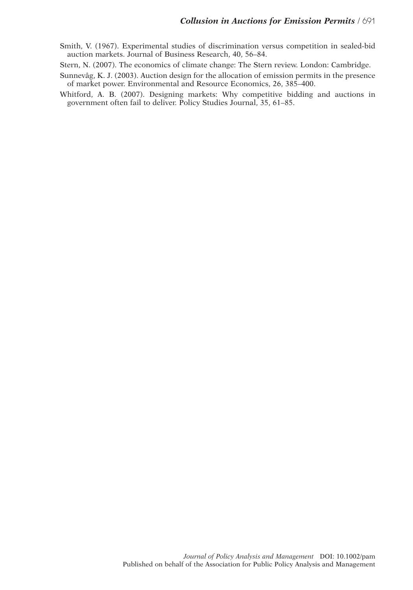- Smith, V. (1967). Experimental studies of discrimination versus competition in sealed-bid auction markets. Journal of Business Research, 40, 56–84.
- Stern, N. (2007). The economics of climate change: The Stern review. London: Cambridge.
- Sunnevåg, K. J. (2003). Auction design for the allocation of emission permits in the presence of market power. Environmental and Resource Economics, 26, 385–400.
- Whitford, A. B. (2007). Designing markets: Why competitive bidding and auctions in government often fail to deliver. Policy Studies Journal, 35, 61–85.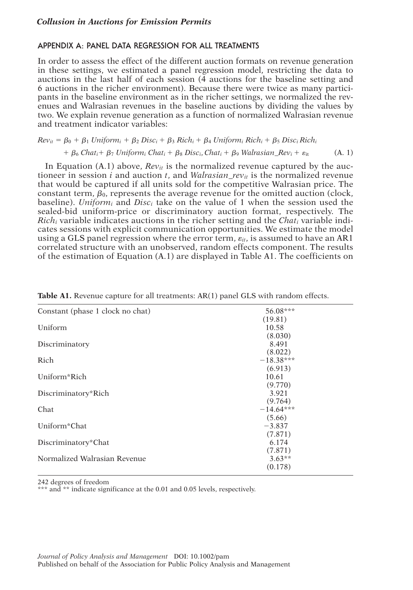## **APPENDIX A: PANEL DATA REGRESSION FOR ALL TREATMENTS**

In order to assess the effect of the different auction formats on revenue generation in these settings, we estimated a panel regression model, restricting the data to auctions in the last half of each session (4 auctions for the baseline setting and 6 auctions in the richer environment). Because there were twice as many participants in the baseline environment as in the richer settings, we normalized the revenues and Walrasian revenues in the baseline auctions by dividing the values by two. We explain revenue generation as a function of normalized Walrasian revenue and treatment indicator variables:

$$
Rev_{it} = \beta_0 + \beta_1 \text{ Uniform}_i + \beta_2 \text{ Disc}_i + \beta_3 \text{ Rich}_i + \beta_4 \text{ Uniform}_i \text{ Rich}_i + \beta_5 \text{ Disc}_i \text{ Rich}_i
$$
  
+ 
$$
\beta_6 \text{ Chat}_i + \beta_7 \text{ Uniform}_i \text{ Chat}_i + \beta_8 \text{ Disc}_i, \text{Cha}_i + \beta_9 \text{ Walrasian\_Rev}_i + \varepsilon_{it}
$$
 (A. 1)

In Equation  $(A.1)$  above,  $Rev_{it}$  is the normalized revenue captured by the auctioneer in session *i* and auction *t*, and *Walrasian\_revit* is the normalized revenue that would be captured if all units sold for the competitive Walrasian price. The constant term,  $\beta_0$ , represents the average revenue for the omitted auction (clock, baseline). *Uniformi* and *Disci* take on the value of 1 when the session used the sealed-bid uniform-price or discriminatory auction format, respectively. The *Richi* variable indicates auctions in the richer setting and the *Chati* variable indicates sessions with explicit communication opportunities. We estimate the model using a GLS panel regression where the error term, e*it*, is assumed to have an AR1 correlated structure with an unobserved, random effects component. The results of the estimation of Equation (A.1) are displayed in Table A1. The coefficients on

| 56.08*** |                                                                                                                                                                                          |
|----------|------------------------------------------------------------------------------------------------------------------------------------------------------------------------------------------|
| (19.81)  |                                                                                                                                                                                          |
| 10.58    |                                                                                                                                                                                          |
|          |                                                                                                                                                                                          |
|          |                                                                                                                                                                                          |
|          |                                                                                                                                                                                          |
|          |                                                                                                                                                                                          |
|          |                                                                                                                                                                                          |
|          |                                                                                                                                                                                          |
|          |                                                                                                                                                                                          |
|          |                                                                                                                                                                                          |
|          |                                                                                                                                                                                          |
|          |                                                                                                                                                                                          |
|          |                                                                                                                                                                                          |
|          |                                                                                                                                                                                          |
|          |                                                                                                                                                                                          |
|          |                                                                                                                                                                                          |
|          |                                                                                                                                                                                          |
|          |                                                                                                                                                                                          |
|          |                                                                                                                                                                                          |
|          |                                                                                                                                                                                          |
|          | (8.030)<br>8.491<br>(8.022)<br>$-18.38***$<br>(6.913)<br>10.61<br>(9.770)<br>3.921<br>(9.764)<br>$-14.64***$<br>(5.66)<br>$-3.837$<br>(7.871)<br>6.174<br>(7.871)<br>$3.63**$<br>(0.178) |

**Table A1.** Revenue capture for all treatments: AR(1) panel GLS with random effects.

242 degrees of freedom

\*\*\* and \*\* indicate significance at the 0.01 and 0.05 levels, respectively.